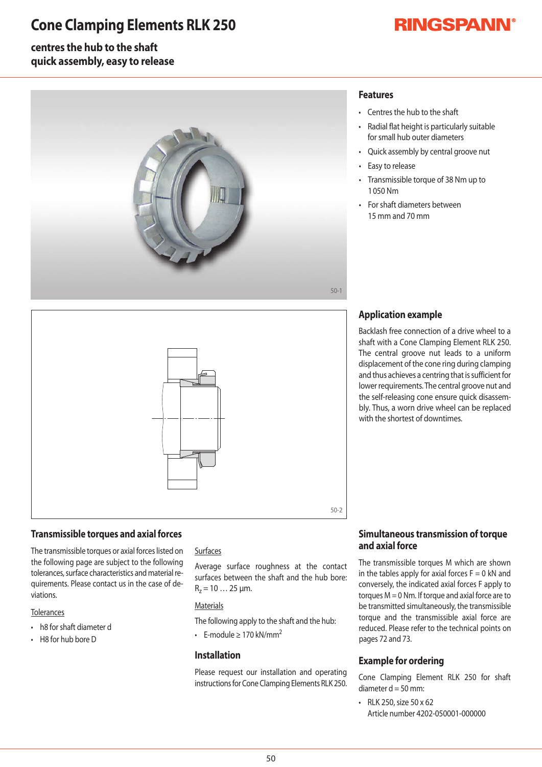## **Cone Clamping Elements RLK 250**

# **RINGSPANN®**

### **centres the hub to the shaft quick assembly, easy to release**



## **Features**

- Centres the hub to the shaft
- Radial flat height is particularly suitable for small hub outer diameters
- Quick assembly by central groove nut
- Easy to release
- Transmissible torque of 38 Nm up to 1050Nm
- For shaft diameters between 15mmand70mm



#### **Transmissible torques and axial forces**

The transmissible torques or axial forces listed on the following page are subject to the following tolerances, surface characteristics and material requirements. Please contact us in the case of deviations.

#### **Tolerances**

- h8 for shaft diameter d
- $\cdot$  H8 for hub bore D

#### Surfaces

Average surface roughness at the contact surfaces between the shaft and the hub bore:  $R_z = 10...25 \mu m$ .

#### **Materials**

The following apply to the shaft and the hub:

• F-module > 170 kN/mm<sup>2</sup>

#### **Installation**

Please request our installation and operating instructions for Cone Clamping Elements RLK 250.

## **Application example**

Backlash free connection of a drive wheel to a shaft with a Cone Clamping Element RLK 250. The central groove nut leads to a uniform displacement of the cone ring during clamping and thus achieves a centring that is sufficient for lower requirements. The central groove nut and the self-releasing cone ensure quick disassembly. Thus, a worn drive wheel can be replaced with the shortest of downtimes

#### **Simultaneous transmission of torque and axial force**

The transmissible torques M which are shownin the tables apply for axial forces  $F=0$  kN and conversely, the indicated axial forces F apply to torques  $M = 0$  Nm. If torque and axial force are to be transmitted simultaneously, the transmissible torque and the transmissible axial force are reduced. Please refer to the technical points on pages 72 and 73.

#### **Example for ordering**

Cone Clamping Element RLK 250 for shaft diameter  $d = 50$  mm:

 $\cdot$  RLK 250, size 50 x 62 Article number 4202-050001-000000